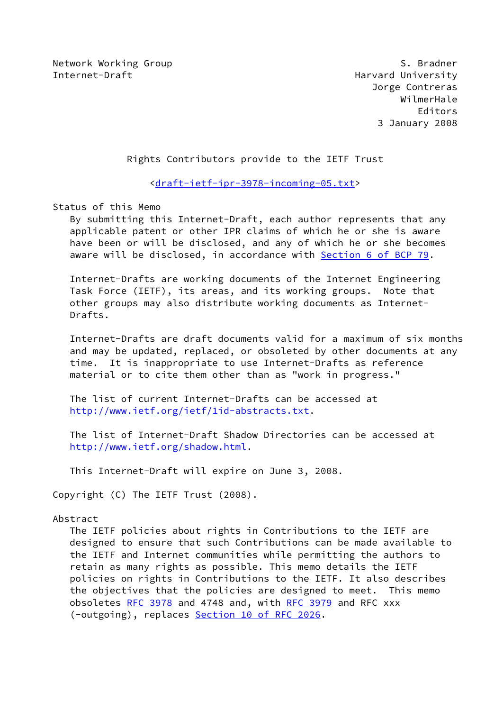Network Working Group S. Bradner Internet-Draft **Harvard University** 

 Jorge Contreras WilmerHale Editors 3 January 2008

Rights Contributors provide to the IETF Trust

<[draft-ietf-ipr-3978-incoming-05.txt](https://datatracker.ietf.org/doc/pdf/draft-ietf-ipr-3978-incoming-05.txt)>

Status of this Memo

 By submitting this Internet-Draft, each author represents that any applicable patent or other IPR claims of which he or she is aware have been or will be disclosed, and any of which he or she becomes aware will be disclosed, in accordance with Section [6 of BCP 79.](https://datatracker.ietf.org/doc/pdf/bcp79#section-6)

 Internet-Drafts are working documents of the Internet Engineering Task Force (IETF), its areas, and its working groups. Note that other groups may also distribute working documents as Internet- Drafts.

 Internet-Drafts are draft documents valid for a maximum of six months and may be updated, replaced, or obsoleted by other documents at any time. It is inappropriate to use Internet-Drafts as reference material or to cite them other than as "work in progress."

 The list of current Internet-Drafts can be accessed at <http://www.ietf.org/ietf/1id-abstracts.txt>.

 The list of Internet-Draft Shadow Directories can be accessed at <http://www.ietf.org/shadow.html>.

This Internet-Draft will expire on June 3, 2008.

Copyright (C) The IETF Trust (2008).

### Abstract

 The IETF policies about rights in Contributions to the IETF are designed to ensure that such Contributions can be made available to the IETF and Internet communities while permitting the authors to retain as many rights as possible. This memo details the IETF policies on rights in Contributions to the IETF. It also describes the objectives that the policies are designed to meet. This memo obsoletes [RFC 3978](https://datatracker.ietf.org/doc/pdf/rfc3978) and 4748 and, with [RFC 3979](https://datatracker.ietf.org/doc/pdf/rfc3979) and RFC xxx (-outgoing), replaces Section [10 of RFC 2026](https://datatracker.ietf.org/doc/pdf/rfc2026#section-10).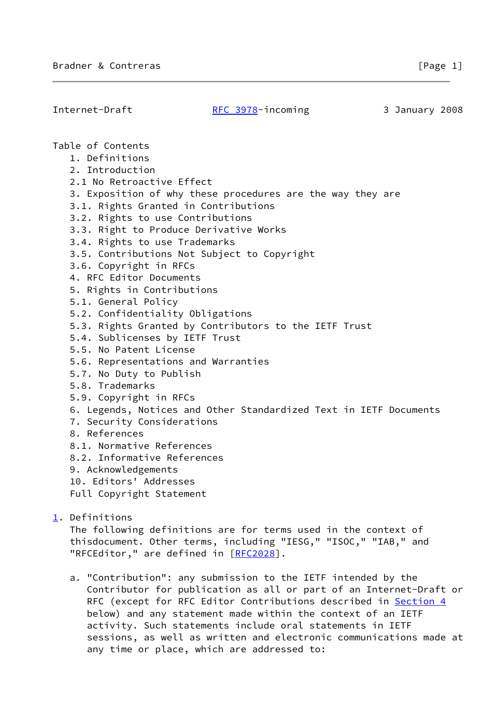| Internet-Draft |                                                                                                                                                                                                                                                                                                                                                                                                                                                                                                                                                                                                                                                                                                | RFC 3978-incoming                                                                                                                                                                        | 3 January 2008 |  |
|----------------|------------------------------------------------------------------------------------------------------------------------------------------------------------------------------------------------------------------------------------------------------------------------------------------------------------------------------------------------------------------------------------------------------------------------------------------------------------------------------------------------------------------------------------------------------------------------------------------------------------------------------------------------------------------------------------------------|------------------------------------------------------------------------------------------------------------------------------------------------------------------------------------------|----------------|--|
|                | Table of Contents<br>1. Definitions<br>2. Introduction<br>2.1 No Retroactive Effect<br>3.1. Rights Granted in Contributions<br>3.2. Rights to use Contributions<br>3.3. Right to Produce Derivative Works<br>3.4. Rights to use Trademarks<br>3.5. Contributions Not Subject to Copyright<br>3.6. Copyright in RFCs<br>4. RFC Editor Documents<br>5. Rights in Contributions<br>5.1. General Policy<br>5.2. Confidentiality Obligations<br>5.4. Sublicenses by IETF Trust<br>5.5. No Patent License<br>5.6. Representations and Warranties<br>5.7. No Duty to Publish<br>5.8. Trademarks<br>5.9. Copyright in RFCs<br>7. Security Considerations<br>8. References<br>8.1. Normative References | 3. Exposition of why these procedures are the way they are<br>5.3. Rights Granted by Contributors to the IETF Trust<br>6. Legends, Notices and Other Standardized Text in IETF Documents |                |  |
|                | 8.2. Informative References                                                                                                                                                                                                                                                                                                                                                                                                                                                                                                                                                                                                                                                                    |                                                                                                                                                                                          |                |  |
|                | 9. Acknowledgements                                                                                                                                                                                                                                                                                                                                                                                                                                                                                                                                                                                                                                                                            |                                                                                                                                                                                          |                |  |
|                | 10. Editors' Addresses<br>Full Copyright Statement                                                                                                                                                                                                                                                                                                                                                                                                                                                                                                                                                                                                                                             |                                                                                                                                                                                          |                |  |
| 1. Definitions |                                                                                                                                                                                                                                                                                                                                                                                                                                                                                                                                                                                                                                                                                                | The following definitions are for terms used in the context of<br>thisdocument. Other terms, including "IESG," "ISOC," "IAB," and                                                        |                |  |

 a. "Contribution": any submission to the IETF intended by the Contributor for publication as all or part of an Internet-Draft or RFC (except for RFC Editor Contributions described in [Section 4](#page-8-0) below) and any statement made within the context of an IETF activity. Such statements include oral statements in IETF sessions, as well as written and electronic communications made at any time or place, which are addressed to:

<span id="page-1-0"></span>"RFCEditor," are defined in [\[RFC2028](https://datatracker.ietf.org/doc/pdf/rfc2028)].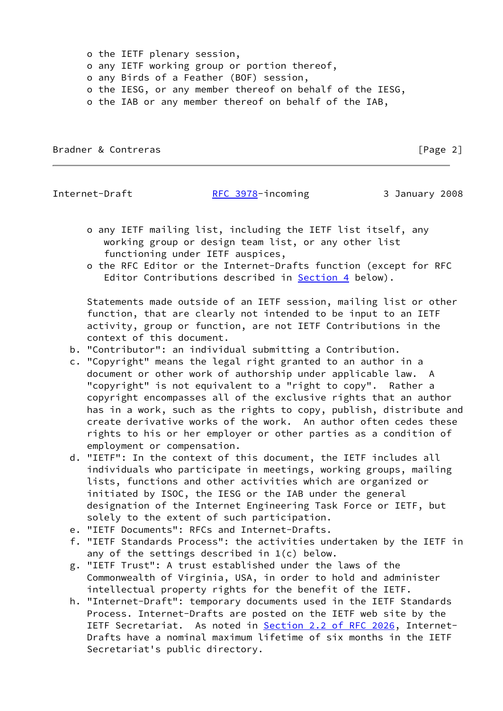o the IETF plenary session, o any IETF working group or portion thereof, o any Birds of a Feather (BOF) session, o the IESG, or any member thereof on behalf of the IESG, o the IAB or any member thereof on behalf of the IAB,

Bradner & Contreras **Executive Contreller** Security 2 and 2 and 2 and 2 and 2 and 2 and 2 and 2 and 2 and 2 and 2 and 2 and 2 and 2 and 2 and 2 and 2 and 2 and 2 and 2 and 2 and 2 and 2 and 2 and 2 and 2 and 2 and 2 and 2

Internet-Draft [RFC 3978](https://datatracker.ietf.org/doc/pdf/rfc3978)-incoming 3 January 2008

- o any IETF mailing list, including the IETF list itself, any working group or design team list, or any other list functioning under IETF auspices,
- o the RFC Editor or the Internet-Drafts function (except for RFC Editor Contributions described in [Section 4](#page-8-0) below).

 Statements made outside of an IETF session, mailing list or other function, that are clearly not intended to be input to an IETF activity, group or function, are not IETF Contributions in the context of this document.

- b. "Contributor": an individual submitting a Contribution.
- c. "Copyright" means the legal right granted to an author in a document or other work of authorship under applicable law. A "copyright" is not equivalent to a "right to copy". Rather a copyright encompasses all of the exclusive rights that an author has in a work, such as the rights to copy, publish, distribute and create derivative works of the work. An author often cedes these rights to his or her employer or other parties as a condition of employment or compensation.
- d. "IETF": In the context of this document, the IETF includes all individuals who participate in meetings, working groups, mailing lists, functions and other activities which are organized or initiated by ISOC, the IESG or the IAB under the general designation of the Internet Engineering Task Force or IETF, but solely to the extent of such participation.
- e. "IETF Documents": RFCs and Internet-Drafts.
- f. "IETF Standards Process": the activities undertaken by the IETF in any of the settings described in 1(c) below.
- g. "IETF Trust": A trust established under the laws of the Commonwealth of Virginia, USA, in order to hold and administer intellectual property rights for the benefit of the IETF.
- h. "Internet-Draft": temporary documents used in the IETF Standards Process. Internet-Drafts are posted on the IETF web site by the IETF Secretariat. As noted in **Section [2.2 of RFC 2026](https://datatracker.ietf.org/doc/pdf/rfc2026#section-2.2)**, Internet- Drafts have a nominal maximum lifetime of six months in the IETF Secretariat's public directory.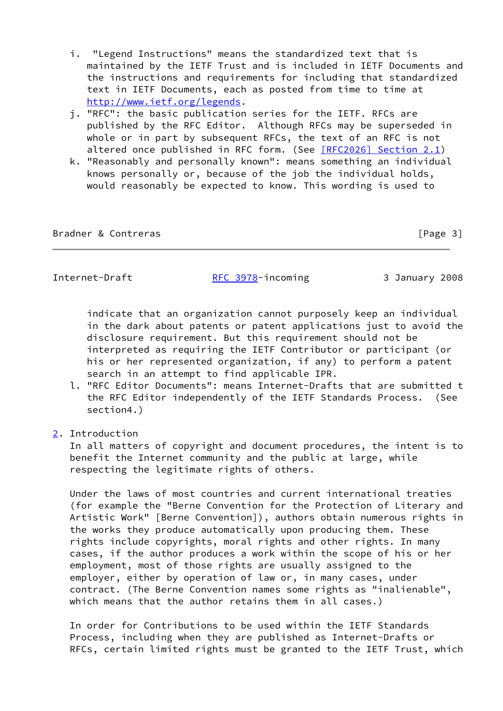- i. "Legend Instructions" means the standardized text that is maintained by the IETF Trust and is included in IETF Documents and the instructions and requirements for including that standardized text in IETF Documents, each as posted from time to time at <http://www.ietf.org/legends>.
- j. "RFC": the basic publication series for the IETF. RFCs are published by the RFC Editor. Although RFCs may be superseded in whole or in part by subsequent RFCs, the text of an RFC is not altered once published in RFC form. (See [\[RFC2026\] Section](https://datatracker.ietf.org/doc/pdf/rfc2026#section-2.1) 2.1)
- k. "Reasonably and personally known": means something an individual knows personally or, because of the job the individual holds, would reasonably be expected to know. This wording is used to

Bradner & Contreras **Exercía Exercía Exercía Exercía Exercía E** Page 3]

Internet-Draft [RFC 3978](https://datatracker.ietf.org/doc/pdf/rfc3978)-incoming 3 January 2008

 indicate that an organization cannot purposely keep an individual in the dark about patents or patent applications just to avoid the disclosure requirement. But this requirement should not be interpreted as requiring the IETF Contributor or participant (or his or her represented organization, if any) to perform a patent search in an attempt to find applicable IPR.

- l. "RFC Editor Documents": means Internet-Drafts that are submitted t the RFC Editor independently of the IETF Standards Process. (See section4.)
- <span id="page-3-0"></span>[2](#page-3-0). Introduction

 In all matters of copyright and document procedures, the intent is to benefit the Internet community and the public at large, while respecting the legitimate rights of others.

 Under the laws of most countries and current international treaties (for example the "Berne Convention for the Protection of Literary and Artistic Work" [Berne Convention]), authors obtain numerous rights in the works they produce automatically upon producing them. These rights include copyrights, moral rights and other rights. In many cases, if the author produces a work within the scope of his or her employment, most of those rights are usually assigned to the employer, either by operation of law or, in many cases, under contract. (The Berne Convention names some rights as "inalienable", which means that the author retains them in all cases.)

 In order for Contributions to be used within the IETF Standards Process, including when they are published as Internet-Drafts or RFCs, certain limited rights must be granted to the IETF Trust, which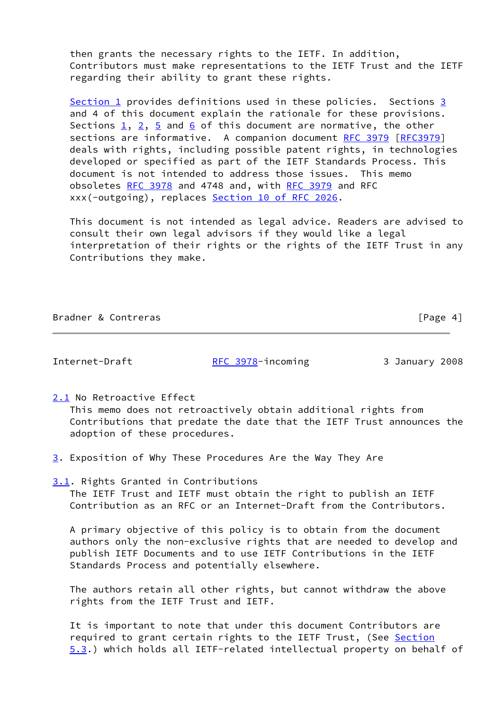then grants the necessary rights to the IETF. In addition, Contributors must make representations to the IETF Trust and the IETF regarding their ability to grant these rights.

 [Section 1](#page-1-0) provides definitions used in these policies. Sections [3](#page-4-0) and 4 of this document explain the rationale for these provisions. Sections  $1, 2, 5$  $1, 2, 5$  $1, 2, 5$  and [6](#page-11-0) of this document are normative, the other sections are informative. A companion document [RFC 3979](https://datatracker.ietf.org/doc/pdf/rfc3979) [\[RFC3979](https://datatracker.ietf.org/doc/pdf/rfc3979)] deals with rights, including possible patent rights, in technologies developed or specified as part of the IETF Standards Process. This document is not intended to address those issues. This memo obsoletes [RFC 3978](https://datatracker.ietf.org/doc/pdf/rfc3978) and 4748 and, with [RFC 3979](https://datatracker.ietf.org/doc/pdf/rfc3979) and RFC xxx(-outgoing), replaces Section [10 of RFC 2026](https://datatracker.ietf.org/doc/pdf/rfc2026#section-10).

 This document is not intended as legal advice. Readers are advised to consult their own legal advisors if they would like a legal interpretation of their rights or the rights of the IETF Trust in any Contributions they make.

Bradner & Contreras **Executive Contreller** Security 2014 1 2 and 2014 1 2 and 2014 1 2 and 2014 1 2 and 2014 1 2 and 2014 1 2 and 2014 2 and 2014 2 and 2014 2 and 2014 2 and 2014 2 and 2014 2 and 2014 2 and 2014 2 and 2014

Internet-Draft [RFC 3978](https://datatracker.ietf.org/doc/pdf/rfc3978)-incoming 3 January 2008

<span id="page-4-1"></span>[2.1](#page-4-1) No Retroactive Effect

 This memo does not retroactively obtain additional rights from Contributions that predate the date that the IETF Trust announces the adoption of these procedures.

<span id="page-4-0"></span>[3](#page-4-0). Exposition of Why These Procedures Are the Way They Are

<span id="page-4-2"></span>[3.1](#page-4-2). Rights Granted in Contributions The IETF Trust and IETF must obtain the right to publish an IETF Contribution as an RFC or an Internet-Draft from the Contributors.

 A primary objective of this policy is to obtain from the document authors only the non-exclusive rights that are needed to develop and publish IETF Documents and to use IETF Contributions in the IETF Standards Process and potentially elsewhere.

 The authors retain all other rights, but cannot withdraw the above rights from the IETF Trust and IETF.

 It is important to note that under this document Contributors are required to grant certain rights to the IETF Trust, (See [Section](#page-9-0) [5.3](#page-9-0).) which holds all IETF-related intellectual property on behalf of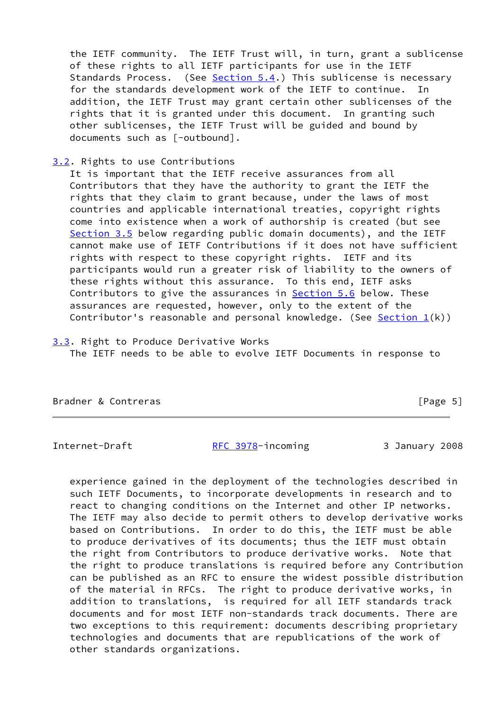the IETF community. The IETF Trust will, in turn, grant a sublicense of these rights to all IETF participants for use in the IETF Standards Process. (See [Section 5.4](#page-9-1).) This sublicense is necessary for the standards development work of the IETF to continue. In addition, the IETF Trust may grant certain other sublicenses of the rights that it is granted under this document. In granting such other sublicenses, the IETF Trust will be guided and bound by documents such as [-outbound].

## <span id="page-5-0"></span>[3.2](#page-5-0). Rights to use Contributions

 It is important that the IETF receive assurances from all Contributors that they have the authority to grant the IETF the rights that they claim to grant because, under the laws of most countries and applicable international treaties, copyright rights come into existence when a work of authorship is created (but see [Section 3.5](#page-7-0) below regarding public domain documents), and the IETF cannot make use of IETF Contributions if it does not have sufficient rights with respect to these copyright rights. IETF and its participants would run a greater risk of liability to the owners of these rights without this assurance. To this end, IETF asks Contributors to give the assurances in **[Section 5.6](#page-10-0)** below. These assurances are requested, however, only to the extent of the Contributor's reasonable and personal knowledge. (See Section  $1(k)$ )

# <span id="page-5-1"></span>[3.3](#page-5-1). Right to Produce Derivative Works The IETF needs to be able to evolve IETF Documents in response to

Bradner & Contreras [Page 5]

Internet-Draft [RFC 3978](https://datatracker.ietf.org/doc/pdf/rfc3978)-incoming 3 January 2008

 experience gained in the deployment of the technologies described in such IETF Documents, to incorporate developments in research and to react to changing conditions on the Internet and other IP networks. The IETF may also decide to permit others to develop derivative works based on Contributions. In order to do this, the IETF must be able to produce derivatives of its documents; thus the IETF must obtain the right from Contributors to produce derivative works. Note that the right to produce translations is required before any Contribution can be published as an RFC to ensure the widest possible distribution of the material in RFCs. The right to produce derivative works, in addition to translations, is required for all IETF standards track documents and for most IETF non-standards track documents. There are two exceptions to this requirement: documents describing proprietary technologies and documents that are republications of the work of other standards organizations.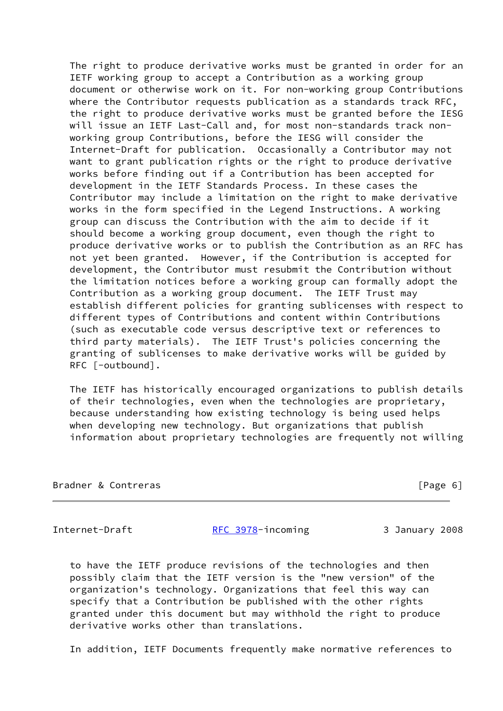The right to produce derivative works must be granted in order for an IETF working group to accept a Contribution as a working group document or otherwise work on it. For non-working group Contributions where the Contributor requests publication as a standards track RFC, the right to produce derivative works must be granted before the IESG will issue an IETF Last-Call and, for most non-standards track non working group Contributions, before the IESG will consider the Internet-Draft for publication. Occasionally a Contributor may not want to grant publication rights or the right to produce derivative works before finding out if a Contribution has been accepted for development in the IETF Standards Process. In these cases the Contributor may include a limitation on the right to make derivative works in the form specified in the Legend Instructions. A working group can discuss the Contribution with the aim to decide if it should become a working group document, even though the right to produce derivative works or to publish the Contribution as an RFC has not yet been granted. However, if the Contribution is accepted for development, the Contributor must resubmit the Contribution without the limitation notices before a working group can formally adopt the Contribution as a working group document. The IETF Trust may establish different policies for granting sublicenses with respect to different types of Contributions and content within Contributions (such as executable code versus descriptive text or references to third party materials). The IETF Trust's policies concerning the granting of sublicenses to make derivative works will be guided by RFC [-outbound].

 The IETF has historically encouraged organizations to publish details of their technologies, even when the technologies are proprietary, because understanding how existing technology is being used helps when developing new technology. But organizations that publish information about proprietary technologies are frequently not willing

| Bradner & Contreras | [Page 6] |  |
|---------------------|----------|--|
|                     |          |  |

Internet-Draft **[RFC 3978](https://datatracker.ietf.org/doc/pdf/rfc3978)-incoming 3 January 2008** 

 to have the IETF produce revisions of the technologies and then possibly claim that the IETF version is the "new version" of the organization's technology. Organizations that feel this way can specify that a Contribution be published with the other rights granted under this document but may withhold the right to produce derivative works other than translations.

In addition, IETF Documents frequently make normative references to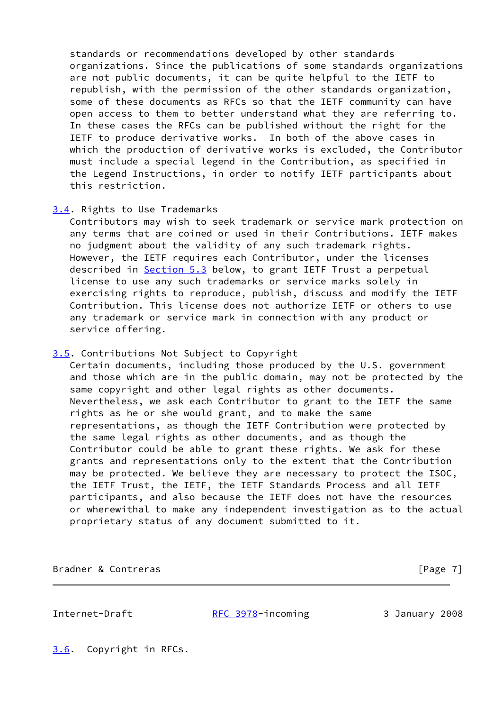standards or recommendations developed by other standards organizations. Since the publications of some standards organizations are not public documents, it can be quite helpful to the IETF to republish, with the permission of the other standards organization, some of these documents as RFCs so that the IETF community can have open access to them to better understand what they are referring to. In these cases the RFCs can be published without the right for the IETF to produce derivative works. In both of the above cases in which the production of derivative works is excluded, the Contributor must include a special legend in the Contribution, as specified in the Legend Instructions, in order to notify IETF participants about this restriction.

## <span id="page-7-1"></span>[3.4](#page-7-1). Rights to Use Trademarks

 Contributors may wish to seek trademark or service mark protection on any terms that are coined or used in their Contributions. IETF makes no judgment about the validity of any such trademark rights. However, the IETF requires each Contributor, under the licenses described in [Section 5.3](#page-9-0) below, to grant IETF Trust a perpetual license to use any such trademarks or service marks solely in exercising rights to reproduce, publish, discuss and modify the IETF Contribution. This license does not authorize IETF or others to use any trademark or service mark in connection with any product or service offering.

## <span id="page-7-0"></span>[3.5](#page-7-0). Contributions Not Subject to Copyright

 Certain documents, including those produced by the U.S. government and those which are in the public domain, may not be protected by the same copyright and other legal rights as other documents. Nevertheless, we ask each Contributor to grant to the IETF the same rights as he or she would grant, and to make the same representations, as though the IETF Contribution were protected by the same legal rights as other documents, and as though the Contributor could be able to grant these rights. We ask for these grants and representations only to the extent that the Contribution may be protected. We believe they are necessary to protect the ISOC, the IETF Trust, the IETF, the IETF Standards Process and all IETF participants, and also because the IETF does not have the resources or wherewithal to make any independent investigation as to the actual proprietary status of any document submitted to it.

Bradner & Contreras [Page 7]

Internet-Draft [RFC 3978](https://datatracker.ietf.org/doc/pdf/rfc3978)-incoming 3 January 2008

<span id="page-7-2"></span>[3.6](#page-7-2). Copyright in RFCs.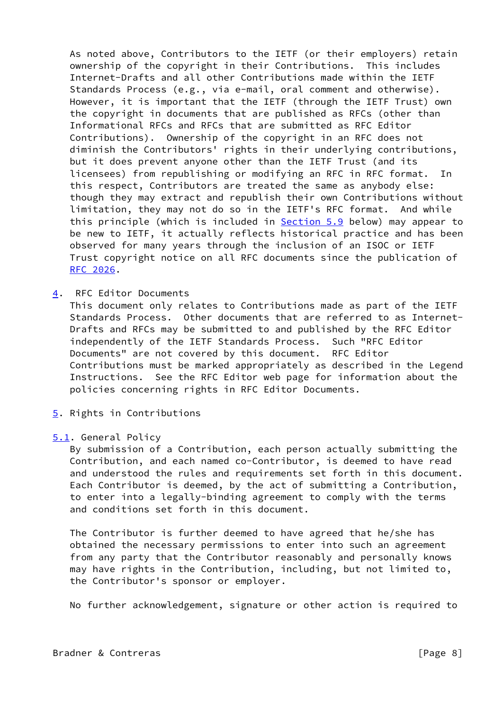As noted above, Contributors to the IETF (or their employers) retain ownership of the copyright in their Contributions. This includes Internet-Drafts and all other Contributions made within the IETF Standards Process (e.g., via e-mail, oral comment and otherwise). However, it is important that the IETF (through the IETF Trust) own the copyright in documents that are published as RFCs (other than Informational RFCs and RFCs that are submitted as RFC Editor Contributions). Ownership of the copyright in an RFC does not diminish the Contributors' rights in their underlying contributions, but it does prevent anyone other than the IETF Trust (and its licensees) from republishing or modifying an RFC in RFC format. In this respect, Contributors are treated the same as anybody else: though they may extract and republish their own Contributions without limitation, they may not do so in the IETF's RFC format. And while this principle (which is included in **Section 5.9** below) may appear to be new to IETF, it actually reflects historical practice and has been observed for many years through the inclusion of an ISOC or IETF Trust copyright notice on all RFC documents since the publication of [RFC 2026](https://datatracker.ietf.org/doc/pdf/rfc2026).

<span id="page-8-0"></span>[4](#page-8-0). RFC Editor Documents

 This document only relates to Contributions made as part of the IETF Standards Process. Other documents that are referred to as Internet- Drafts and RFCs may be submitted to and published by the RFC Editor independently of the IETF Standards Process. Such "RFC Editor Documents" are not covered by this document. RFC Editor Contributions must be marked appropriately as described in the Legend Instructions. See the RFC Editor web page for information about the policies concerning rights in RFC Editor Documents.

<span id="page-8-1"></span>[5](#page-8-1). Rights in Contributions

#### <span id="page-8-2"></span>[5.1](#page-8-2). General Policy

 By submission of a Contribution, each person actually submitting the Contribution, and each named co-Contributor, is deemed to have read and understood the rules and requirements set forth in this document. Each Contributor is deemed, by the act of submitting a Contribution, to enter into a legally-binding agreement to comply with the terms and conditions set forth in this document.

 The Contributor is further deemed to have agreed that he/she has obtained the necessary permissions to enter into such an agreement from any party that the Contributor reasonably and personally knows may have rights in the Contribution, including, but not limited to, the Contributor's sponsor or employer.

No further acknowledgement, signature or other action is required to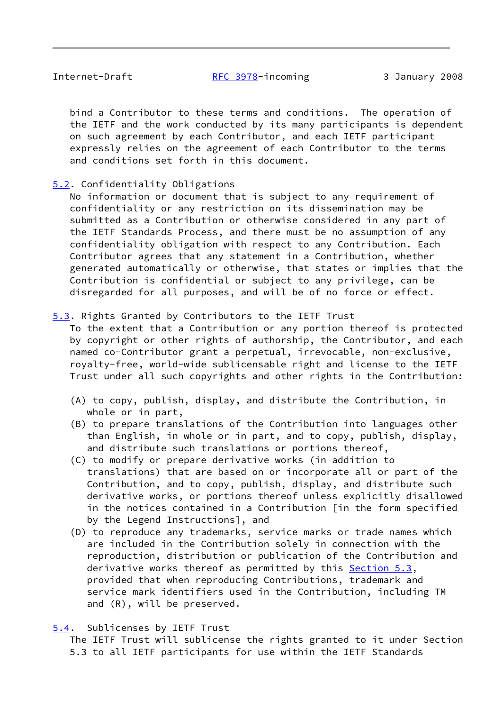bind a Contributor to these terms and conditions. The operation of the IETF and the work conducted by its many participants is dependent on such agreement by each Contributor, and each IETF participant expressly relies on the agreement of each Contributor to the terms and conditions set forth in this document.

# <span id="page-9-2"></span>[5.2](#page-9-2). Confidentiality Obligations

 No information or document that is subject to any requirement of confidentiality or any restriction on its dissemination may be submitted as a Contribution or otherwise considered in any part of the IETF Standards Process, and there must be no assumption of any confidentiality obligation with respect to any Contribution. Each Contributor agrees that any statement in a Contribution, whether generated automatically or otherwise, that states or implies that the Contribution is confidential or subject to any privilege, can be disregarded for all purposes, and will be of no force or effect.

## <span id="page-9-0"></span>[5.3](#page-9-0). Rights Granted by Contributors to the IETF Trust

 To the extent that a Contribution or any portion thereof is protected by copyright or other rights of authorship, the Contributor, and each named co-Contributor grant a perpetual, irrevocable, non-exclusive, royalty-free, world-wide sublicensable right and license to the IETF Trust under all such copyrights and other rights in the Contribution:

- (A) to copy, publish, display, and distribute the Contribution, in whole or in part,
- (B) to prepare translations of the Contribution into languages other than English, in whole or in part, and to copy, publish, display, and distribute such translations or portions thereof,
- (C) to modify or prepare derivative works (in addition to translations) that are based on or incorporate all or part of the Contribution, and to copy, publish, display, and distribute such derivative works, or portions thereof unless explicitly disallowed in the notices contained in a Contribution [in the form specified by the Legend Instructions], and
- (D) to reproduce any trademarks, service marks or trade names which are included in the Contribution solely in connection with the reproduction, distribution or publication of the Contribution and derivative works thereof as permitted by this [Section 5.3](#page-9-0), provided that when reproducing Contributions, trademark and service mark identifiers used in the Contribution, including TM and (R), will be preserved.
- <span id="page-9-1"></span>[5.4](#page-9-1). Sublicenses by IETF Trust

 The IETF Trust will sublicense the rights granted to it under Section 5.3 to all IETF participants for use within the IETF Standards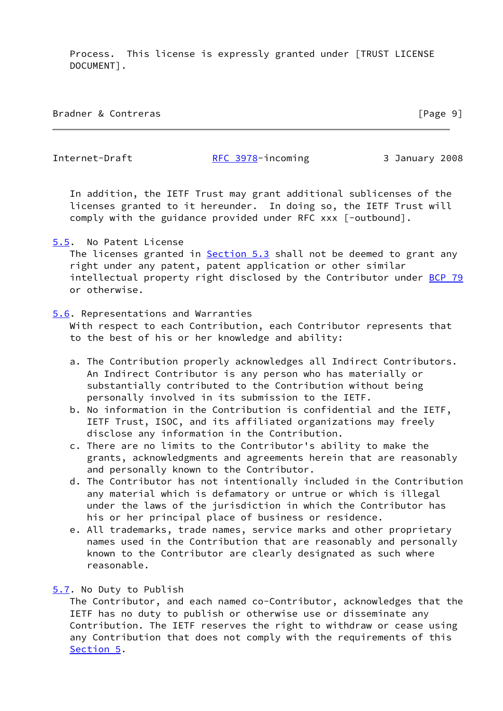Process. This license is expressly granted under [TRUST LICENSE DOCUMENT].

| Bradner & Contreras | [Page 9] |
|---------------------|----------|
|---------------------|----------|

Internet-Draft [RFC 3978](https://datatracker.ietf.org/doc/pdf/rfc3978)-incoming 3 January 2008

 In addition, the IETF Trust may grant additional sublicenses of the licenses granted to it hereunder. In doing so, the IETF Trust will comply with the guidance provided under RFC xxx [-outbound].

<span id="page-10-1"></span>[5.5](#page-10-1). No Patent License

The licenses granted in **Section 5.3** shall not be deemed to grant any right under any patent, patent application or other similar intellectual property right disclosed by the Contributor under [BCP 79](https://datatracker.ietf.org/doc/pdf/bcp79) or otherwise.

# <span id="page-10-0"></span>[5.6](#page-10-0). Representations and Warranties

 With respect to each Contribution, each Contributor represents that to the best of his or her knowledge and ability:

- a. The Contribution properly acknowledges all Indirect Contributors. An Indirect Contributor is any person who has materially or substantially contributed to the Contribution without being personally involved in its submission to the IETF.
- b. No information in the Contribution is confidential and the IETF, IETF Trust, ISOC, and its affiliated organizations may freely disclose any information in the Contribution.
- c. There are no limits to the Contributor's ability to make the grants, acknowledgments and agreements herein that are reasonably and personally known to the Contributor.
- d. The Contributor has not intentionally included in the Contribution any material which is defamatory or untrue or which is illegal under the laws of the jurisdiction in which the Contributor has his or her principal place of business or residence.
- e. All trademarks, trade names, service marks and other proprietary names used in the Contribution that are reasonably and personally known to the Contributor are clearly designated as such where reasonable.

# <span id="page-10-2"></span>[5.7](#page-10-2). No Duty to Publish

 The Contributor, and each named co-Contributor, acknowledges that the IETF has no duty to publish or otherwise use or disseminate any Contribution. The IETF reserves the right to withdraw or cease using any Contribution that does not comply with the requirements of this [Section 5](#page-8-1).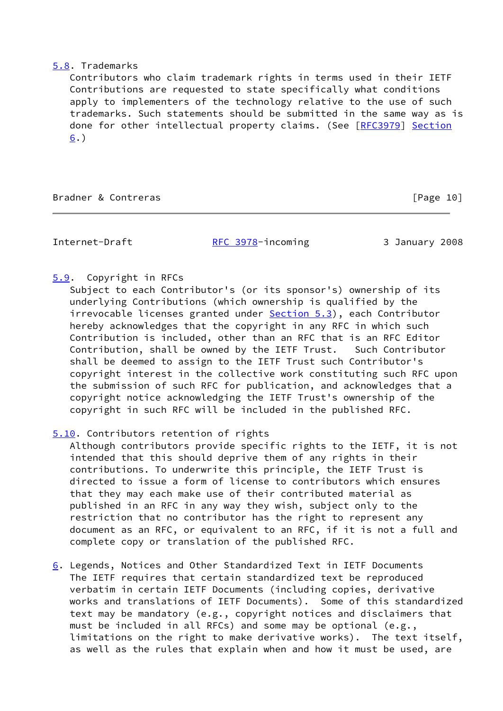### <span id="page-11-2"></span>[5.8](#page-11-2). Trademarks

 Contributors who claim trademark rights in terms used in their IETF Contributions are requested to state specifically what conditions apply to implementers of the technology relative to the use of such trademarks. Such statements should be submitted in the same way as is done for other intellectual property claims. (See [[RFC3979](https://datatracker.ietf.org/doc/pdf/rfc3979)] [Section](#page-11-0) [6](#page-11-0).)

Bradner & Contreras [Page 10]

Internet-Draft [RFC 3978](https://datatracker.ietf.org/doc/pdf/rfc3978)-incoming 3 January 2008

## <span id="page-11-1"></span>[5.9](#page-11-1). Copyright in RFCs

 Subject to each Contributor's (or its sponsor's) ownership of its underlying Contributions (which ownership is qualified by the irrevocable licenses granted under **[Section 5.3](#page-9-0)**), each Contributor hereby acknowledges that the copyright in any RFC in which such Contribution is included, other than an RFC that is an RFC Editor Contribution, shall be owned by the IETF Trust. Such Contributor shall be deemed to assign to the IETF Trust such Contributor's copyright interest in the collective work constituting such RFC upon the submission of such RFC for publication, and acknowledges that a copyright notice acknowledging the IETF Trust's ownership of the copyright in such RFC will be included in the published RFC.

## <span id="page-11-3"></span>[5.10](#page-11-3). Contributors retention of rights

 Although contributors provide specific rights to the IETF, it is not intended that this should deprive them of any rights in their contributions. To underwrite this principle, the IETF Trust is directed to issue a form of license to contributors which ensures that they may each make use of their contributed material as published in an RFC in any way they wish, subject only to the restriction that no contributor has the right to represent any document as an RFC, or equivalent to an RFC, if it is not a full and complete copy or translation of the published RFC.

<span id="page-11-0"></span>[6](#page-11-0). Legends, Notices and Other Standardized Text in IETF Documents The IETF requires that certain standardized text be reproduced verbatim in certain IETF Documents (including copies, derivative works and translations of IETF Documents). Some of this standardized text may be mandatory (e.g., copyright notices and disclaimers that must be included in all RFCs) and some may be optional (e.g., limitations on the right to make derivative works). The text itself, as well as the rules that explain when and how it must be used, are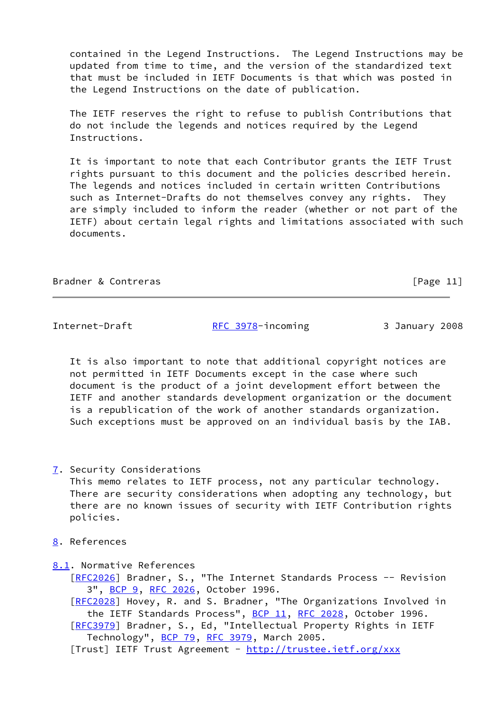contained in the Legend Instructions. The Legend Instructions may be updated from time to time, and the version of the standardized text that must be included in IETF Documents is that which was posted in the Legend Instructions on the date of publication.

 The IETF reserves the right to refuse to publish Contributions that do not include the legends and notices required by the Legend Instructions.

 It is important to note that each Contributor grants the IETF Trust rights pursuant to this document and the policies described herein. The legends and notices included in certain written Contributions such as Internet-Drafts do not themselves convey any rights. They are simply included to inform the reader (whether or not part of the IETF) about certain legal rights and limitations associated with such documents.

Bradner & Contreras [Page 11]

Internet-Draft [RFC 3978](https://datatracker.ietf.org/doc/pdf/rfc3978)-incoming 3 January 2008

 It is also important to note that additional copyright notices are not permitted in IETF Documents except in the case where such document is the product of a joint development effort between the IETF and another standards development organization or the document is a republication of the work of another standards organization. Such exceptions must be approved on an individual basis by the IAB.

<span id="page-12-0"></span>[7](#page-12-0). Security Considerations

 This memo relates to IETF process, not any particular technology. There are security considerations when adopting any technology, but there are no known issues of security with IETF Contribution rights policies.

<span id="page-12-1"></span>[8](#page-12-1). References

<span id="page-12-2"></span>[8.1](#page-12-2). Normative References

[\[RFC2026](https://datatracker.ietf.org/doc/pdf/rfc2026)] Bradner, S., "The Internet Standards Process -- Revision 3", [BCP 9,](https://datatracker.ietf.org/doc/pdf/bcp9) [RFC 2026](https://datatracker.ietf.org/doc/pdf/rfc2026), October 1996.

 [\[RFC2028](https://datatracker.ietf.org/doc/pdf/rfc2028)] Hovey, R. and S. Bradner, "The Organizations Involved in the IETF Standards Process", [BCP 11](https://datatracker.ietf.org/doc/pdf/bcp11), [RFC 2028](https://datatracker.ietf.org/doc/pdf/rfc2028), October 1996.

 [\[RFC3979](https://datatracker.ietf.org/doc/pdf/rfc3979)] Bradner, S., Ed, "Intellectual Property Rights in IETF Technology", [BCP 79](https://datatracker.ietf.org/doc/pdf/bcp79), [RFC 3979](https://datatracker.ietf.org/doc/pdf/rfc3979), March 2005.

[Trust] IETF Trust Agreement - <http://trustee.ietf.org/xxx>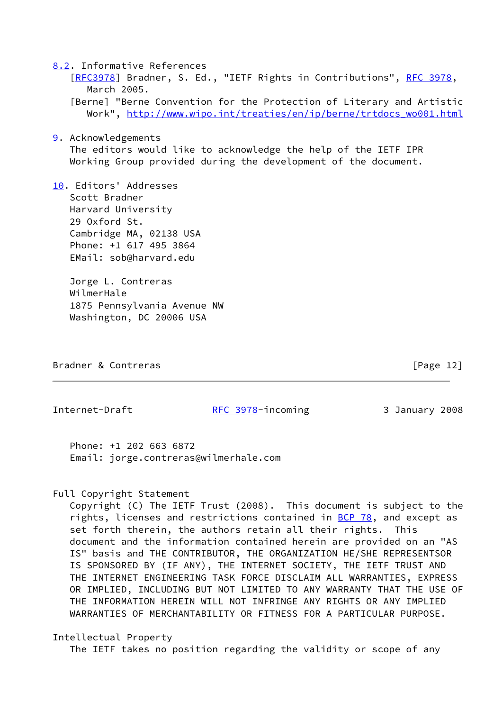<span id="page-13-0"></span>[8.2](#page-13-0). Informative References

[\[RFC3978](https://datatracker.ietf.org/doc/pdf/rfc3978)] Bradner, S. Ed., "IETF Rights in Contributions", [RFC 3978,](https://datatracker.ietf.org/doc/pdf/rfc3978) March 2005.

 [Berne] "Berne Convention for the Protection of Literary and Artistic Work", [http://www.wipo.int/treaties/en/ip/berne/trtdocs\\_wo001.html](http://www.wipo.int/treaties/en/ip/berne/trtdocs_wo001.html)

<span id="page-13-1"></span>[9](#page-13-1). Acknowledgements

 The editors would like to acknowledge the help of the IETF IPR Working Group provided during the development of the document.

<span id="page-13-2"></span>[10.](#page-13-2) Editors' Addresses Scott Bradner Harvard University 29 Oxford St. Cambridge MA, 02138 USA Phone: +1 617 495 3864 EMail: sob@harvard.edu

> Jorge L. Contreras WilmerHale 1875 Pennsylvania Avenue NW Washington, DC 20006 USA

Bradner & Contreras [Page 12]

Internet-Draft **[RFC 3978](https://datatracker.ietf.org/doc/pdf/rfc3978)-incoming 3 January 2008** 

 Phone: +1 202 663 6872 Email: jorge.contreras@wilmerhale.com

#### Full Copyright Statement

 Copyright (C) The IETF Trust (2008). This document is subject to the rights, licenses and restrictions contained in **[BCP 78](https://datatracker.ietf.org/doc/pdf/bcp78)**, and except as set forth therein, the authors retain all their rights. This document and the information contained herein are provided on an "AS IS" basis and THE CONTRIBUTOR, THE ORGANIZATION HE/SHE REPRESENTSOR IS SPONSORED BY (IF ANY), THE INTERNET SOCIETY, THE IETF TRUST AND THE INTERNET ENGINEERING TASK FORCE DISCLAIM ALL WARRANTIES, EXPRESS OR IMPLIED, INCLUDING BUT NOT LIMITED TO ANY WARRANTY THAT THE USE OF THE INFORMATION HEREIN WILL NOT INFRINGE ANY RIGHTS OR ANY IMPLIED WARRANTIES OF MERCHANTABILITY OR FITNESS FOR A PARTICULAR PURPOSE.

Intellectual Property

The IETF takes no position regarding the validity or scope of any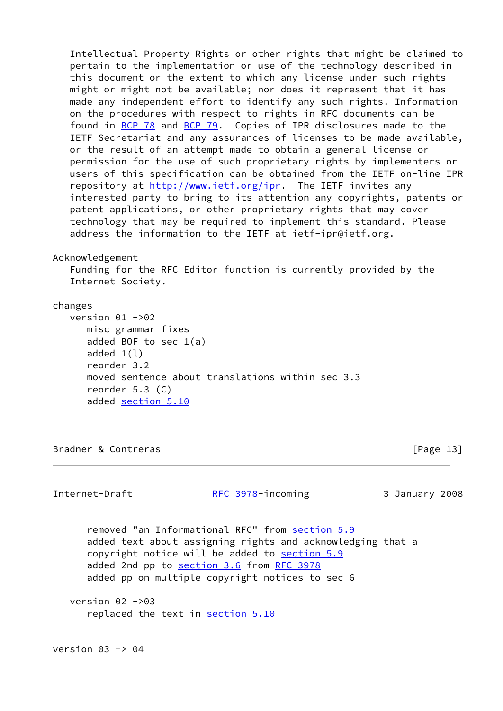Intellectual Property Rights or other rights that might be claimed to pertain to the implementation or use of the technology described in this document or the extent to which any license under such rights might or might not be available; nor does it represent that it has made any independent effort to identify any such rights. Information on the procedures with respect to rights in RFC documents can be found in [BCP 78](https://datatracker.ietf.org/doc/pdf/bcp78) and [BCP 79](https://datatracker.ietf.org/doc/pdf/bcp79). Copies of IPR disclosures made to the IETF Secretariat and any assurances of licenses to be made available, or the result of an attempt made to obtain a general license or permission for the use of such proprietary rights by implementers or users of this specification can be obtained from the IETF on-line IPR repository at<http://www.ietf.org/ipr>. The IETF invites any interested party to bring to its attention any copyrights, patents or patent applications, or other proprietary rights that may cover technology that may be required to implement this standard. Please address the information to the IETF at ietf-ipr@ietf.org.

#### Acknowledgement

 Funding for the RFC Editor function is currently provided by the Internet Society.

#### changes

version  $01 - 92$  misc grammar fixes added BOF to sec 1(a) added  $1(1)$  reorder 3.2 moved sentence about translations within sec 3.3 reorder 5.3 (C) added [section 5.10](#page-11-3)

Bradner & Contreras [Page 13]

 removed "an Informational RFC" from [section 5.9](#page-11-1) added text about assigning rights and acknowledging that a copyright notice will be added to [section 5.9](#page-11-1) added 2nd pp to [section 3.6](#page-7-2) from [RFC 3978](https://datatracker.ietf.org/doc/pdf/rfc3978) added pp on multiple copyright notices to sec 6 version  $02 - 93$ replaced the text in [section 5.10](#page-11-3)

Internet-Draft [RFC 3978](https://datatracker.ietf.org/doc/pdf/rfc3978)-incoming 3 January 2008

version  $03 \rightarrow 04$